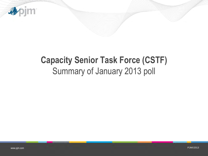

# **Capacity Senior Task Force (CSTF)**  Summary of January 2013 poll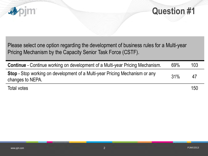



Please select one option regarding the development of business rules for a Multi-year Pricing Mechanism by the Capacity Senior Task Force (CSTF).

| <b>Continue</b> - Continue working on development of a Multi-year Pricing Mechanism.                   | 69% | 103 |
|--------------------------------------------------------------------------------------------------------|-----|-----|
| <b>Stop</b> - Stop working on development of a Multi-year Pricing Mechanism or any<br>changes to NEPA. | 31% | 47  |
|                                                                                                        |     |     |

Total votes 150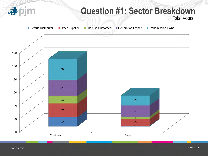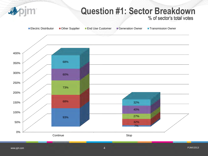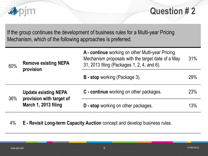

### **Question # 2**

If the group continues the development of business rules for a Multi-year Pricing Mechanism, which of the following approaches is preferred.

| 60% | <b>Remove existing NEPA</b><br>provision                | A - continue working on other Multi-year Pricing<br>Mechanism proposals with the target date of a May<br>31, 2013 filing (Packages 1, 2, 4, and 6). | 31% |
|-----|---------------------------------------------------------|-----------------------------------------------------------------------------------------------------------------------------------------------------|-----|
|     |                                                         | <b>B</b> - stop working (Package 3).                                                                                                                | 29% |
| 36% | <b>Update existing NEPA</b><br>provision with target of | C - continue working on other packages.                                                                                                             | 23% |
|     | March 1, 2013 filing                                    | <b>D</b> - stop working on other packages.                                                                                                          | 13% |

4% **E - Revisit Long-term Capacity Auction** concept and develop business rules.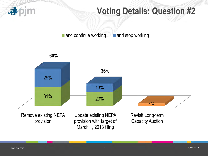

#### **Voting Details: Question #2**

 $\blacksquare$  and continue working  $\blacksquare$  and stop working

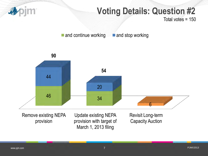

# **Voting Details: Question #2**

Total votes = 150

 $\blacksquare$  and continue working  $\blacksquare$  and stop working

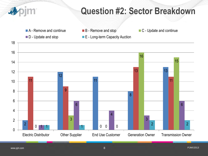# **Question #2: Sector Breakdown**

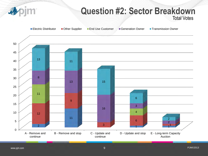